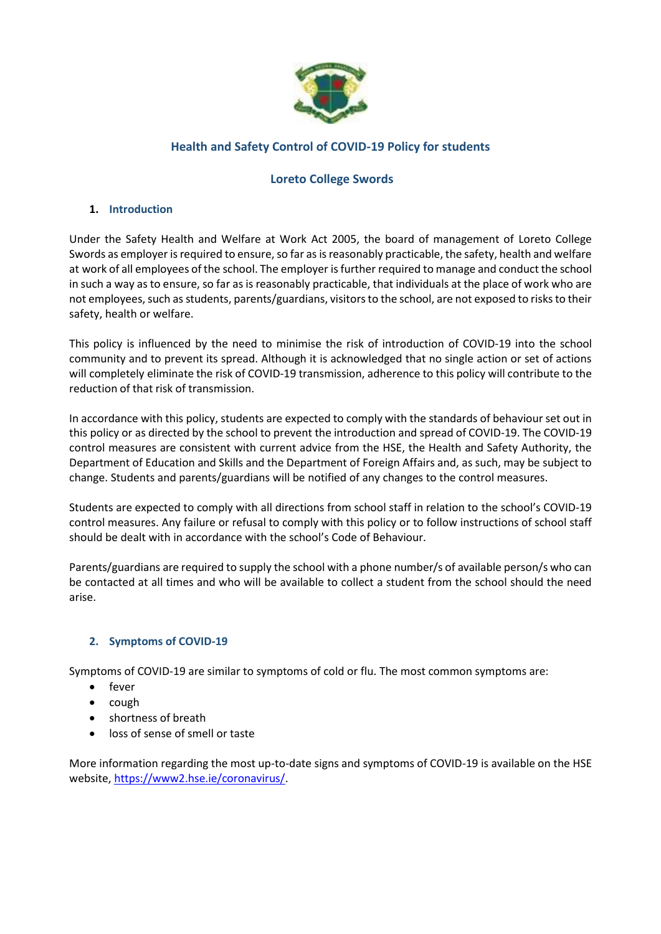

# **Health and Safety Control of COVID-19 Policy for students**

# **Loreto College Swords**

#### **1. Introduction**

Under the Safety Health and Welfare at Work Act 2005, the board of management of Loreto College Swords as employer is required to ensure, so far as is reasonably practicable, the safety, health and welfare at work of all employees of the school. The employer isfurther required to manage and conduct the school in such a way as to ensure, so far as is reasonably practicable, that individuals at the place of work who are not employees, such as students, parents/guardians, visitors to the school, are not exposed to risks to their safety, health or welfare.

This policy is influenced by the need to minimise the risk of introduction of COVID-19 into the school community and to prevent its spread. Although it is acknowledged that no single action or set of actions will completely eliminate the risk of COVID-19 transmission, adherence to this policy will contribute to the reduction of that risk of transmission.

In accordance with this policy, students are expected to comply with the standards of behaviour set out in this policy or as directed by the school to prevent the introduction and spread of COVID-19. The COVID-19 control measures are consistent with current advice from the HSE, the Health and Safety Authority, the Department of Education and Skills and the Department of Foreign Affairs and, as such, may be subject to change. Students and parents/guardians will be notified of any changes to the control measures.

Students are expected to comply with all directions from school staff in relation to the school's COVID-19 control measures. Any failure or refusal to comply with this policy or to follow instructions of school staff should be dealt with in accordance with the school's Code of Behaviour.

Parents/guardians are required to supply the school with a phone number/s of available person/s who can be contacted at all times and who will be available to collect a student from the school should the need arise.

## **2. Symptoms of COVID-19**

Symptoms of COVID-19 are similar to symptoms of cold or flu. The most common symptoms are:

- fever
- cough
- shortness of breath
- loss of sense of smell or taste

More information regarding the most up-to-date signs and symptoms of COVID-19 is available on the HSE website[, https://www2.hse.ie/coronavirus/.](https://www2.hse.ie/coronavirus/)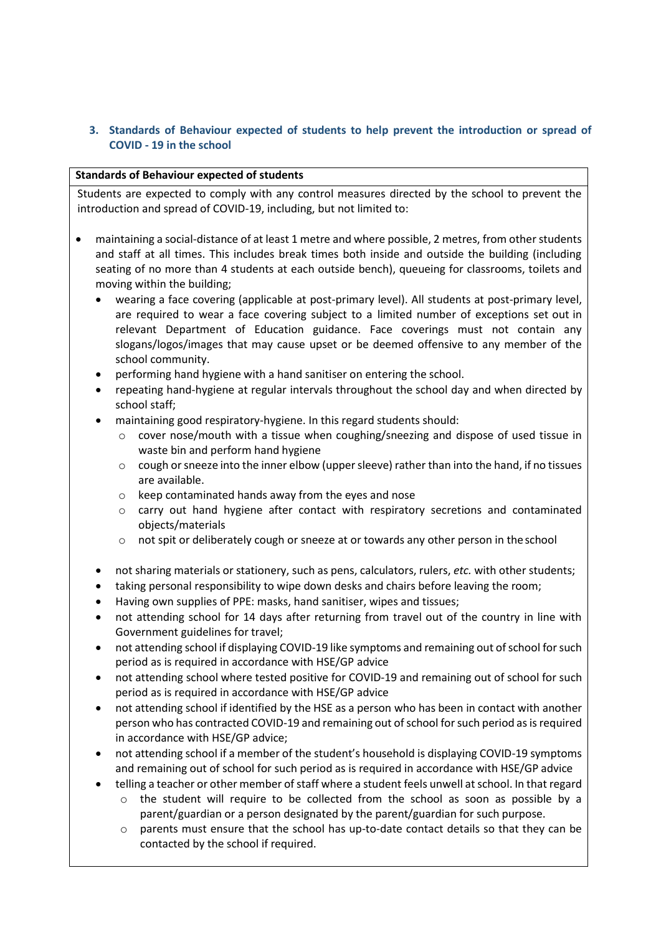## **3. Standards of Behaviour expected of students to help prevent the introduction or spread of COVID - 19 in the school**

#### **Standards of Behaviour expected of students**

Students are expected to comply with any control measures directed by the school to prevent the introduction and spread of COVID-19, including, but not limited to:

- maintaining a social-distance of at least 1 metre and where possible, 2 metres, from other students and staff at all times. This includes break times both inside and outside the building (including seating of no more than 4 students at each outside bench), queueing for classrooms, toilets and moving within the building;
	- wearing a face covering (applicable at post-primary level). All students at post-primary level, are required to wear a face covering subject to a limited number of exceptions set out in relevant Department of Education guidance. Face coverings must not contain any slogans/logos/images that may cause upset or be deemed offensive to any member of the school community.
	- performing hand hygiene with a hand sanitiser on entering the school.
	- repeating hand-hygiene at regular intervals throughout the school day and when directed by school staff;
	- maintaining good respiratory-hygiene. In this regard students should:
		- o cover nose/mouth with a tissue when coughing/sneezing and dispose of used tissue in waste bin and perform hand hygiene
		- $\circ$  cough or sneeze into the inner elbow (upper sleeve) rather than into the hand, if no tissues are available.
		- o keep contaminated hands away from the eyes and nose
		- o carry out hand hygiene after contact with respiratory secretions and contaminated objects/materials
		- o not spit or deliberately cough or sneeze at or towards any other person in theschool
	- not sharing materials or stationery, such as pens, calculators, rulers, *etc.* with other students;
	- taking personal responsibility to wipe down desks and chairs before leaving the room;
	- Having own supplies of PPE: masks, hand sanitiser, wipes and tissues;
	- not attending school for 14 days after returning from travel out of the country in line with Government guidelines for travel;
	- not attending school if displaying COVID-19 like symptoms and remaining out of school for such period as is required in accordance with HSE/GP advice
	- not attending school where tested positive for COVID-19 and remaining out of school for such period as is required in accordance with HSE/GP advice
	- not attending school if identified by the HSE as a person who has been in contact with another person who has contracted COVID-19 and remaining out of school for such period as is required in accordance with HSE/GP advice;
	- not attending school if a member of the student's household is displaying COVID-19 symptoms and remaining out of school for such period as is required in accordance with HSE/GP advice
	- telling a teacher or other member of staff where a student feels unwell at school. In that regard
		- o the student will require to be collected from the school as soon as possible by a parent/guardian or a person designated by the parent/guardian for such purpose.
		- o parents must ensure that the school has up-to-date contact details so that they can be contacted by the school if required.